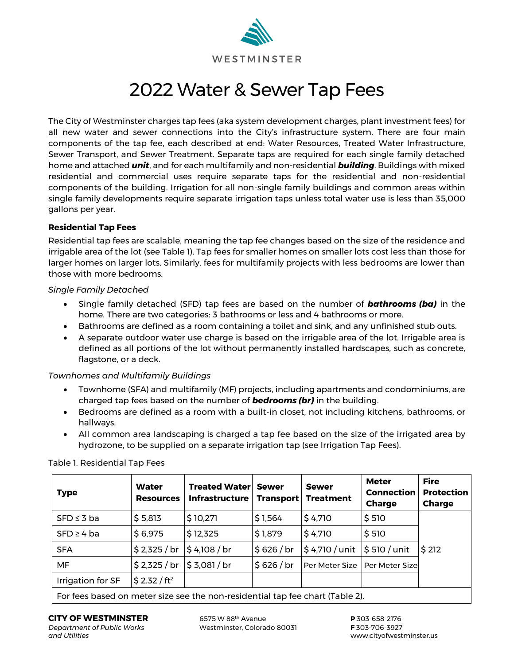

# 2022 Water & Sewer Tap Fees

The City of Westminster charges tap fees (aka system development charges, plant investment fees) for all new water and sewer connections into the City's infrastructure system. There are four main components of the tap fee, each described at end: Water Resources, Treated Water Infrastructure, Sewer Transport, and Sewer Treatment. Separate taps are required for each single family detached home and attached *unit*, and for each multifamily and non-residential *building*. Buildings with mixed residential and commercial uses require separate taps for the residential and non-residential components of the building. Irrigation for all non-single family buildings and common areas within single family developments require separate irrigation taps unless total water use is less than 35,000 gallons per year.

# **Residential Tap Fees**

Residential tap fees are scalable, meaning the tap fee changes based on the size of the residence and irrigable area of the lot (see Table 1). Tap fees for smaller homes on smaller lots cost less than those for larger homes on larger lots. Similarly, fees for multifamily projects with less bedrooms are lower than those with more bedrooms.

# *Single Family Detached*

- Single family detached (SFD) tap fees are based on the number of *bathrooms (ba)* in the home. There are two categories: 3 bathrooms or less and 4 bathrooms or more.
- Bathrooms are defined as a room containing a toilet and sink, and any unfinished stub outs.
- A separate outdoor water use charge is based on the irrigable area of the lot. Irrigable area is defined as all portions of the lot without permanently installed hardscapes, such as concrete, flagstone, or a deck.

# *Townhomes and Multifamily Buildings*

- Townhome (SFA) and multifamily (MF) projects, including apartments and condominiums, are charged tap fees based on the number of *bedrooms (br)* in the building.
- Bedrooms are defined as a room with a built-in closet, not including kitchens, bathrooms, or hallways.
- All common area landscaping is charged a tap fee based on the size of the irrigated area by hydrozone, to be supplied on a separate irrigation tap (see Irrigation Tap Fees).

| <b>Type</b>                                                                            | <b>Water</b><br><b>Resources</b> | <b>Treated Waterl</b><br>Infrastructure | <b>Sewer</b><br><b>Transport</b> | <b>Sewer</b><br><b>Treatment</b>                      | <b>Meter</b><br><b>Connection</b><br><b>Charge</b> | <b>Fire</b><br><b>Protection</b><br><b>Charge</b> |  |
|----------------------------------------------------------------------------------------|----------------------------------|-----------------------------------------|----------------------------------|-------------------------------------------------------|----------------------------------------------------|---------------------------------------------------|--|
| $SFD \leq 3$ ba                                                                        | \$5,813                          | \$10,271                                | \$1,564                          | \$4,710                                               | \$510                                              |                                                   |  |
| $SFD \geq 4$ ba                                                                        | \$6,975                          | \$12,325                                | \$1,879                          | \$4,710                                               | \$510                                              |                                                   |  |
| <b>SFA</b>                                                                             | $$2,325$ / br                    | $$4,108$ / br                           | \$626/br                         | $\frac{1}{2}$ \$4,710 / unit $\frac{1}{2}$ 510 / unit |                                                    | \$212                                             |  |
| MF                                                                                     | $$2,325$ / br                    | \$ 3,081 / br                           | \$626/br                         | Per Meter Size                                        | Per Meter Sizel                                    |                                                   |  |
| Irrigation for SF                                                                      | \$2.32 / ft <sup>2</sup>         |                                         |                                  |                                                       |                                                    |                                                   |  |
| $\Gamma$ au fana baasad am mastau sina san tha mam usaidemtial tam fan abaut (Tabla 3) |                                  |                                         |                                  |                                                       |                                                    |                                                   |  |

Table 1. Residential Tap Fees

For fees based on meter size see the non-residential tap fee chart (Table 2).

*Department of Public Works* Westminster, Colorado 80031<br>and Utilities

**CITY OF WESTMINSTER** 6575 W 88<sup>th</sup> Avenue **P** 303-658-2176<br>
Department of Public Works Westminster, Colorado 80031 **F** 303-706-3927

*and Utilities* www.cityofwestminster.us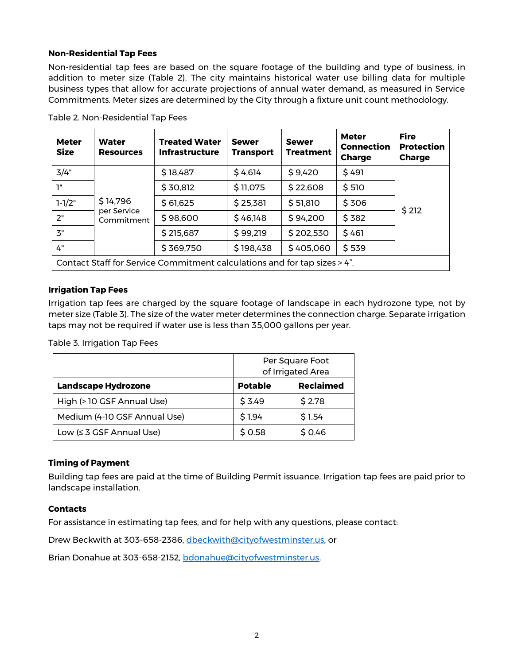# **Non-Residential Tap Fees**

Non-residential tap fees are based on the square footage of the building and type of business, in addition to meter size (Table 2). The city maintains historical water use billing data for multiple business types that allow for accurate projections of annual water demand, as measured in Service Commitments. Meter sizes are determined by the City through a fixture unit count methodology.

| <b>Meter</b><br><b>Size</b>                                               | Water<br><b>Resources</b>             | <b>Treated Water</b><br><b>Infrastructure</b> | <b>Sewer</b><br><b>Transport</b> | <b>Sewer</b><br><b>Treatment</b> | <b>Meter</b><br><b>Connection</b><br><b>Charge</b> | <b>Fire</b><br><b>Protection</b><br><b>Charge</b> |
|---------------------------------------------------------------------------|---------------------------------------|-----------------------------------------------|----------------------------------|----------------------------------|----------------------------------------------------|---------------------------------------------------|
| 3/4"                                                                      | \$14,796<br>per Service<br>Commitment | \$18,487                                      | \$4,614                          | \$9,420                          | \$491                                              | \$212                                             |
| 1"                                                                        |                                       | \$30,812                                      | \$11,075                         | \$22,608                         | \$510                                              |                                                   |
| $1-1/2"$                                                                  |                                       | \$61,625                                      | \$25,381                         | \$51,810                         | \$306                                              |                                                   |
| 2"                                                                        |                                       | \$98,600                                      | \$46,148                         | \$94,200                         | \$382                                              |                                                   |
| 3"                                                                        |                                       | \$215,687                                     | \$99,219                         | \$202,530                        | \$461                                              |                                                   |
| 4"                                                                        |                                       | \$369,750                                     | \$198,438                        | \$405,060                        | \$539                                              |                                                   |
| Contact Staff for Service Commitment calculations and for tap sizes > 4". |                                       |                                               |                                  |                                  |                                                    |                                                   |

Table 2. Non-Residential Tap Fees

# **Irrigation Tap Fees**

Irrigation tap fees are charged by the square footage of landscape in each hydrozone type, not by meter size (Table 3). The size of the water meter determines the connection charge. Separate irrigation taps may not be required if water use is less than 35,000 gallons per year.

Table 3. Irrigation Tap Fees

|                              | Per Square Foot<br>of Irrigated Area |                  |  |
|------------------------------|--------------------------------------|------------------|--|
| <b>Landscape Hydrozone</b>   | <b>Potable</b>                       | <b>Reclaimed</b> |  |
| High (> 10 GSF Annual Use)   | \$3.49                               | \$2.78           |  |
| Medium (4-10 GSF Annual Use) | \$1.94                               | \$1.54           |  |
| Low $(≤ 3 GSF Annual Use)$   | \$0.58                               | \$0.46           |  |

# **Timing of Payment**

Building tap fees are paid at the time of Building Permit issuance. Irrigation tap fees are paid prior to landscape installation.

### **Contacts**

For assistance in estimating tap fees, and for help with any questions, please contact:

Drew Beckwith at 303-658-2386, [dbeckwith@cityofwestminster.us,](mailto:dbeckwith@cityofwestminster.us) or

Brian Donahue at 303-658-2152, [bdonahue@cityofwestminster.us.](mailto:bdonahue@cityofwestminster.us)